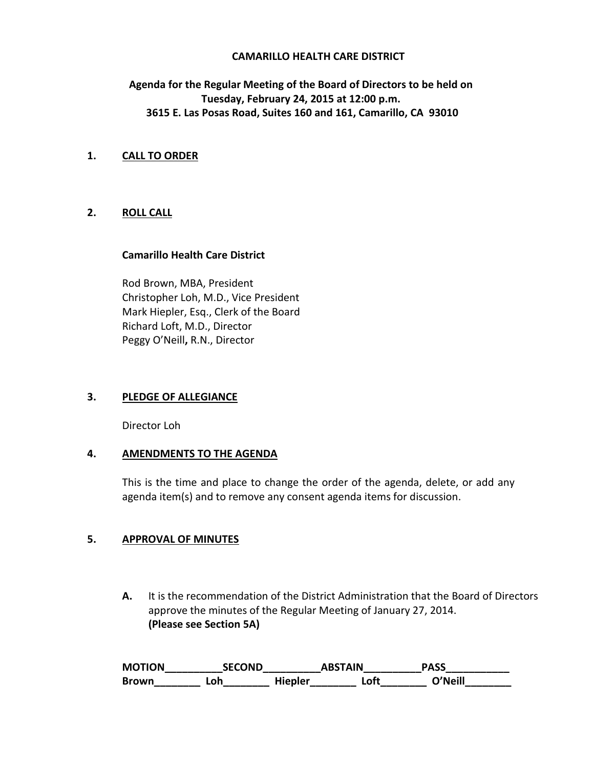## **CAMARILLO HEALTH CARE DISTRICT**

# **Agenda for the Regular Meeting of the Board of Directors to be held on Tuesday, February 24, 2015 at 12:00 p.m. 3615 E. Las Posas Road, Suites 160 and 161, Camarillo, CA 93010**

### **1. CALL TO ORDER**

# **2. ROLL CALL**

#### **Camarillo Health Care District**

Rod Brown, MBA, President Christopher Loh, M.D., Vice President Mark Hiepler, Esq., Clerk of the Board Richard Loft, M.D., Director Peggy O'Neill**,** R.N., Director

## **3. PLEDGE OF ALLEGIANCE**

Director Loh

## **4. AMENDMENTS TO THE AGENDA**

This is the time and place to change the order of the agenda, delete, or add any agenda item(s) and to remove any consent agenda items for discussion.

## **5. APPROVAL OF MINUTES**

**A.** It is the recommendation of the District Administration that the Board of Directors approve the minutes of the Regular Meeting of January 27, 2014. **(Please see Section 5A)** 

**MOTION\_\_\_\_\_\_\_\_\_\_SECOND\_\_\_\_\_\_\_\_\_\_ABSTAIN\_\_\_\_\_\_\_\_\_\_PASS\_\_\_\_\_\_\_\_\_\_\_ Brown\_\_\_\_\_\_\_\_ Loh\_\_\_\_\_\_\_\_ Hiepler\_\_\_\_\_\_\_\_ Loft\_\_\_\_\_\_\_\_ O'Neill\_\_\_\_\_\_\_\_**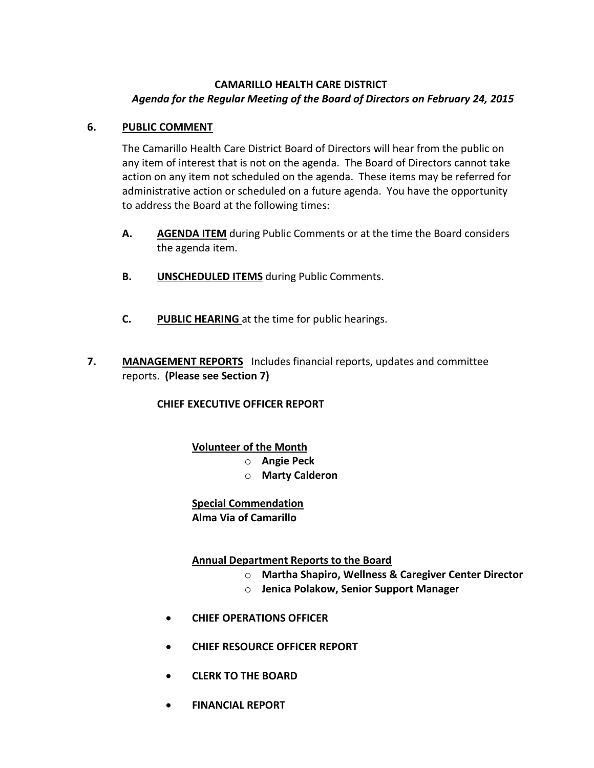# **CAMARILLO HEALTH CARE DISTRICT** *Agenda for the Regular Meeting of the Board of Directors on February 24, 2015*

# **6. PUBLIC COMMENT**

The Camarillo Health Care District Board of Directors will hear from the public on any item of interest that is not on the agenda. The Board of Directors cannot take action on any item not scheduled on the agenda. These items may be referred for administrative action or scheduled on a future agenda. You have the opportunity to address the Board at the following times:

- **A. AGENDA ITEM** during Public Comments or at the time the Board considers the agenda item.
- **B. UNSCHEDULED ITEMS** during Public Comments.
- **C. PUBLIC HEARING** at the time for public hearings.
- **7. MANAGEMENT REPORTS** Includes financial reports, updates and committee reports. **(Please see Section 7)**

# **CHIEF EXECUTIVE OFFICER REPORT**

# **Volunteer of the Month**

- o **Angie Peck**
- o **Marty Calderon**

#### **Special Commendation Alma Via of Camarillo**

# **Annual Department Reports to the Board**

- o **Martha Shapiro, Wellness & Caregiver Center Director**
- o **Jenica Polakow, Senior Support Manager**
- **CHIEF OPERATIONS OFFICER**
- **CHIEF RESOURCE OFFICER REPORT**
- **CLERK TO THE BOARD**
- **FINANCIAL REPORT**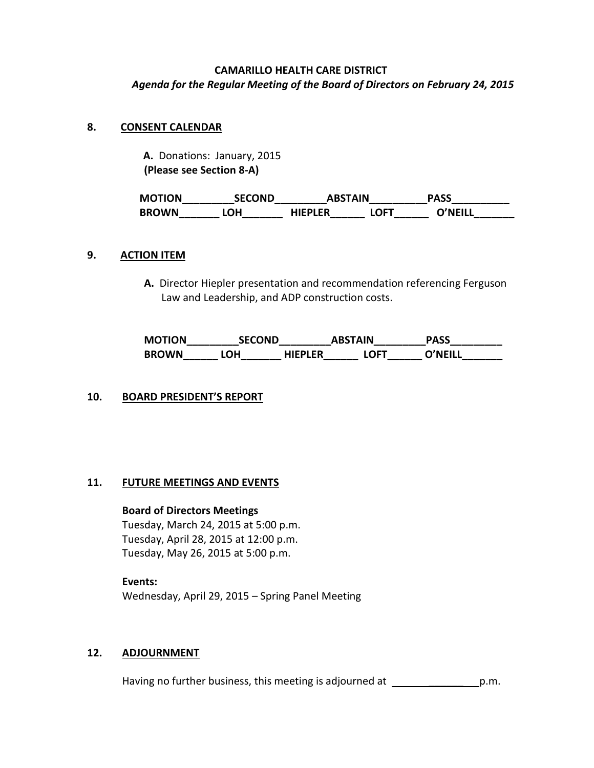# **CAMARILLO HEALTH CARE DISTRICT** *Agenda for the Regular Meeting of the Board of Directors on February 24, 2015*

## **8. CONSENT CALENDAR**

 **A.** Donations: January, 2015  **(Please see Section 8-A)** 

| <b>MOTION</b> | <b>SECOND</b> | ABSTAIN |      | <b>PASS</b> |
|---------------|---------------|---------|------|-------------|
| <b>BROWN</b>  | .OH           | HIEPLER | .OFT | O'NFILL     |

#### **9. ACTION ITEM**

**A.** Director Hiepler presentation and recommendation referencing Ferguson Law and Leadership, and ADP construction costs.

| <b>MOTION</b> | <b>SECOND</b> |                | <b>ABSTAIN</b> | <b>PASS</b> |
|---------------|---------------|----------------|----------------|-------------|
| <b>BROWN</b>  | LOH           | <b>HIEPLER</b> | <b>LOFT</b>    | ו ווFM^     |

## **10. BOARD PRESIDENT'S REPORT**

#### **11. FUTURE MEETINGS AND EVENTS**

#### **Board of Directors Meetings**

Tuesday, March 24, 2015 at 5:00 p.m. Tuesday, April 28, 2015 at 12:00 p.m. Tuesday, May 26, 2015 at 5:00 p.m.

**Events:** Wednesday, April 29, 2015 – Spring Panel Meeting

## **12. ADJOURNMENT**

Having no further business, this meeting is adjourned at \_\_\_\_\_\_\_\_\_\_\_\_\_\_\_\_\_\_\_\_p.m.